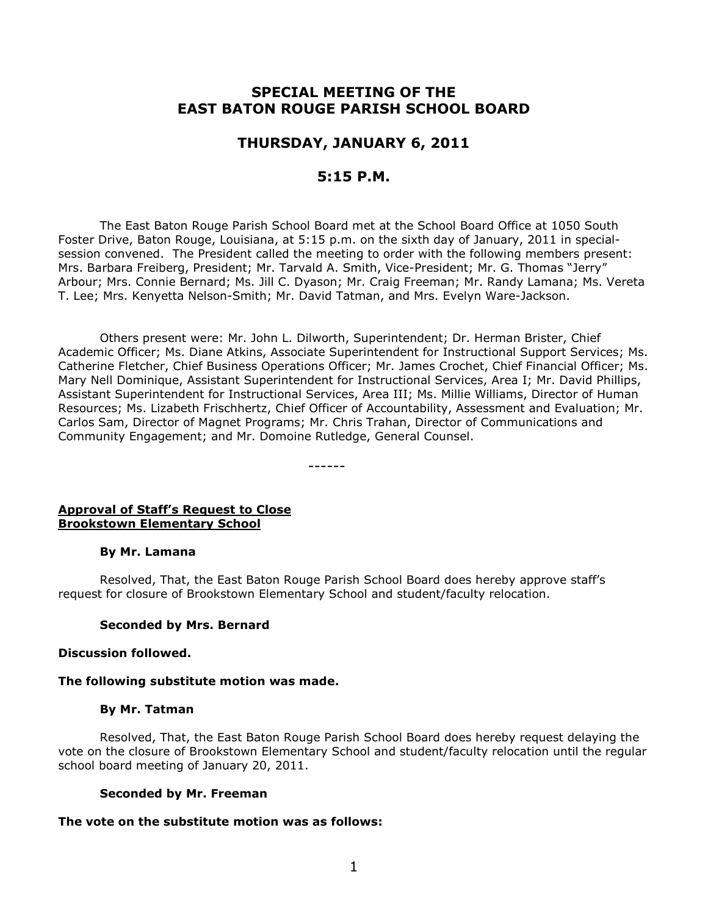# **SPECIAL MEETING OF THE EAST BATON ROUGE PARISH SCHOOL BOARD**

## **THURSDAY, JANUARY 6, 2011**

### **5:15 P.M.**

The East Baton Rouge Parish School Board met at the School Board Office at 1050 South Foster Drive, Baton Rouge, Louisiana, at 5:15 p.m. on the sixth day of January, 2011 in specialsession convened. The President called the meeting to order with the following members present: Mrs. Barbara Freiberg, President; Mr. Tarvald A. Smith, Vice-President; Mr. G. Thomas "Jerry" Arbour; Mrs. Connie Bernard; Ms. Jill C. Dyason; Mr. Craig Freeman; Mr. Randy Lamana; Ms. Vereta T. Lee; Mrs. Kenyetta Nelson-Smith; Mr. David Tatman, and Mrs. Evelyn Ware-Jackson.

Others present were: Mr. John L. Dilworth, Superintendent; Dr. Herman Brister, Chief Academic Officer; Ms. Diane Atkins, Associate Superintendent for Instructional Support Services; Ms. Catherine Fletcher, Chief Business Operations Officer; Mr. James Crochet, Chief Financial Officer; Ms. Mary Nell Dominique, Assistant Superintendent for Instructional Services, Area I; Mr. David Phillips, Assistant Superintendent for Instructional Services, Area III; Ms. Millie Williams, Director of Human Resources; Ms. Lizabeth Frischhertz, Chief Officer of Accountability, Assessment and Evaluation; Mr. Carlos Sam, Director of Magnet Programs; Mr. Chris Trahan, Director of Communications and Community Engagement; and Mr. Domoine Rutledge, General Counsel.

------

#### **Approval of Staff's Request to Close Brookstown Elementary School**

#### **By Mr. Lamana**

Resolved, That, the East Baton Rouge Parish School Board does hereby approve staff's request for closure of Brookstown Elementary School and student/faculty relocation.

#### **Seconded by Mrs. Bernard**

#### **Discussion followed.**

#### **The following substitute motion was made.**

#### **By Mr. Tatman**

Resolved, That, the East Baton Rouge Parish School Board does hereby request delaying the vote on the closure of Brookstown Elementary School and student/faculty relocation until the regular school board meeting of January 20, 2011.

#### **Seconded by Mr. Freeman**

#### **The vote on the substitute motion was as follows:**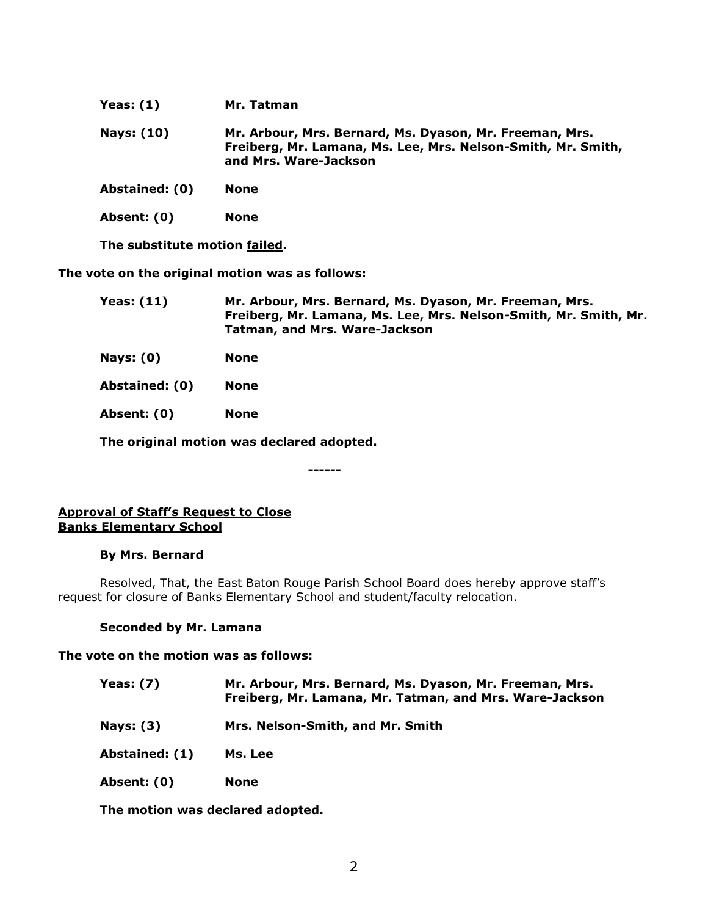| Yeas: $(1)$    | Mr. Tatman                                                                                                                                       |
|----------------|--------------------------------------------------------------------------------------------------------------------------------------------------|
| Nays: (10)     | Mr. Arbour, Mrs. Bernard, Ms. Dyason, Mr. Freeman, Mrs.<br>Freiberg, Mr. Lamana, Ms. Lee, Mrs. Nelson-Smith, Mr. Smith,<br>and Mrs. Ware-Jackson |
| Abstained: (0) | <b>None</b>                                                                                                                                      |
| Absent: (0)    | None                                                                                                                                             |

**The substitute motion failed.**

**The vote on the original motion was as follows:**

| Mr. Arbour, Mrs. Bernard, Ms. Dyason, Mr. Freeman, Mrs.          |
|------------------------------------------------------------------|
| Freiberg, Mr. Lamana, Ms. Lee, Mrs. Nelson-Smith, Mr. Smith, Mr. |
| Tatman, and Mrs. Ware-Jackson                                    |
|                                                                  |

**Nays: (0) None**

**Abstained: (0) None**

**Absent: (0) None**

**The original motion was declared adopted.**

**------**

#### **Approval of Staff's Request to Close Banks Elementary School**

#### **By Mrs. Bernard**

Resolved, That, the East Baton Rouge Parish School Board does hereby approve staff's request for closure of Banks Elementary School and student/faculty relocation.

#### **Seconded by Mr. Lamana**

**The vote on the motion was as follows:**

- **Yeas: (7) Mr. Arbour, Mrs. Bernard, Ms. Dyason, Mr. Freeman, Mrs. Freiberg, Mr. Lamana, Mr. Tatman, and Mrs. Ware-Jackson**
- **Nays: (3) Mrs. Nelson-Smith, and Mr. Smith**
- **Abstained: (1) Ms. Lee**
- **Absent: (0) None**

**The motion was declared adopted.**